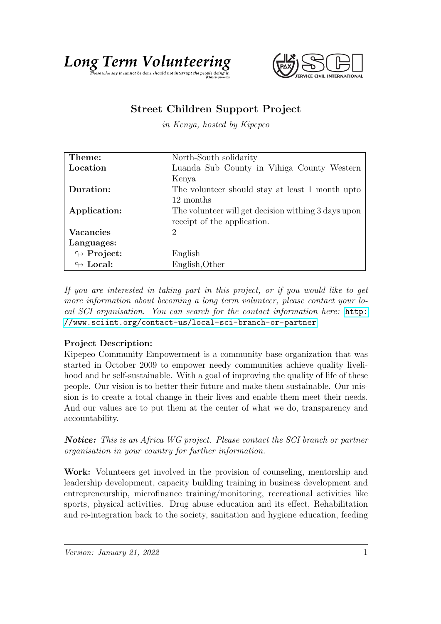



## Street Children Support Project

in Kenya, hosted by Kipepeo

| Theme:                     | North-South solidarity                              |
|----------------------------|-----------------------------------------------------|
| Location                   | Luanda Sub County in Vihiga County Western          |
|                            | Kenya                                               |
| Duration:                  | The volunteer should stay at least 1 month upto     |
|                            | 12 months                                           |
| Application:               | The volunteer will get decision withing 3 days upon |
|                            | receipt of the application.                         |
| <b>Vacancies</b>           | 2                                                   |
| Languages:                 |                                                     |
| $\leftrightarrow$ Project: | English                                             |
| $\leftrightarrow$ Local:   | English, Other                                      |

If you are interested in taking part in this project, or if you would like to get more information about becoming a long term volunteer, please contact your local SCI organisation. You can search for the contact information here: [http:](http://www.sciint.org/contact-us/local-sci-branch-or-partner) [//www.sciint.org/contact-us/local-sci-branch-or-partner](http://www.sciint.org/contact-us/local-sci-branch-or-partner)

## Project Description:

Kipepeo Community Empowerment is a community base organization that was started in October 2009 to empower needy communities achieve quality livelihood and be self-sustainable. With a goal of improving the quality of life of these people. Our vision is to better their future and make them sustainable. Our mission is to create a total change in their lives and enable them meet their needs. And our values are to put them at the center of what we do, transparency and accountability.

Notice: This is an Africa WG project. Please contact the SCI branch or partner organisation in your country for further information.

Work: Volunteers get involved in the provision of counseling, mentorship and leadership development, capacity building training in business development and entrepreneurship, microfinance training/monitoring, recreational activities like sports, physical activities. Drug abuse education and its effect, Rehabilitation and re-integration back to the society, sanitation and hygiene education, feeding